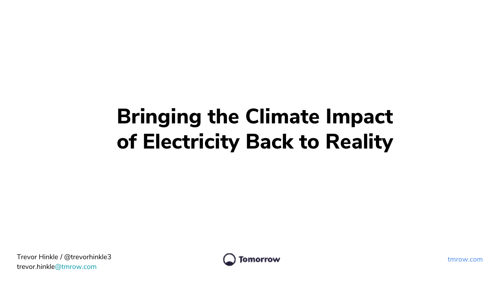# Bringing the Climate Impact of Electricity Back to Reality

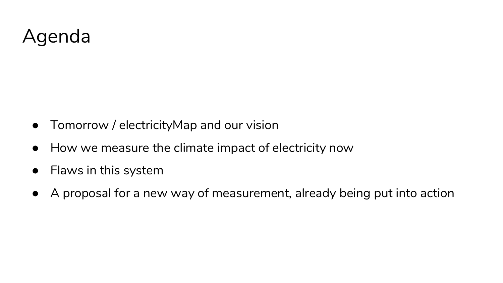## Agenda

- Tomorrow / electricityMap and our vision
- How we measure the climate impact of electricity now
- Flaws in this system
- A proposal for a new way of measurement, already being put into action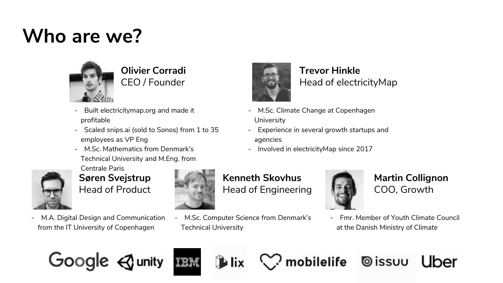## **Who are we?**



**Olivier Corradi** CEO / Founder

- Built electricitymap.org and made it profitable
- Scaled snips.ai (sold to Sonos) from 1 to 35 employees as VP Eng
- M.Sc. Mathematics from Denmark's Technical University and M.Eng. from



Centrale Paris **Søren Svejstrup** Head of Product

- M.A. Digital Design and Communication from the IT University of Copenhagen



#### **Kenneth Skovhus** Head of Engineering

M.Sc. Computer Science from Denmark's Technical University



**Martin Collignon** COO, Growth

Uber

- Fmr. Member of Youth Climate Council at the Danish Ministry of Climate

**O**issuu





- **Trevor Hinkle** Head of electricityMap
- M.Sc. Climate Change at Copenhagen **University**
- Experience in several growth startups and
- Involved in electricityMap since 2017





mobilelife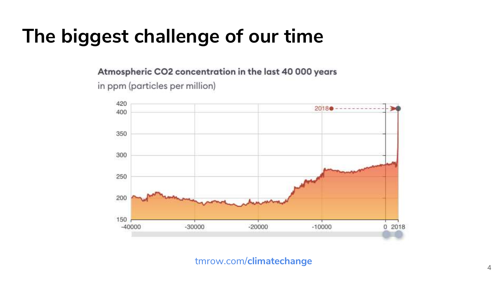## **The biggest challenge of our time**

Atmospheric CO2 concentration in the last 40 000 years

in ppm (particles per million)



#### tmrow.com/**climatechange**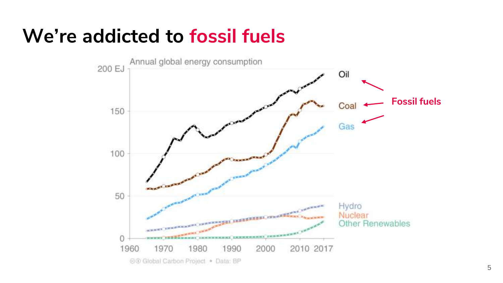## **We're addicted to fossil fuels**

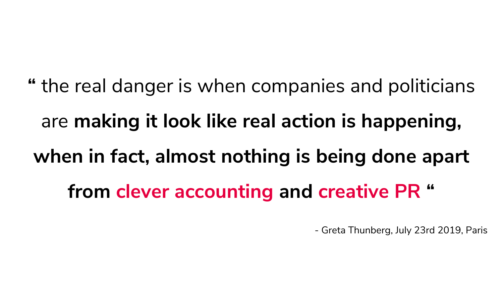**"** the real danger is when companies and politicians are **making it look like real action is happening, when in fact, almost nothing is being done apart from clever accounting and creative PR "**

- Greta Thunberg, July 23rd 2019, Paris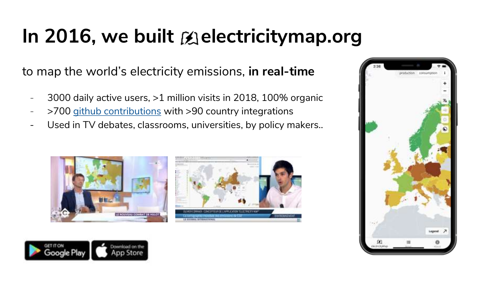# In 2016, we built **Exelectricitymap.org**

to map the world's electricity emissions, **in real-time**

- 3000 daily active users, >1 million visits in 2018, 100% organic
- >700 [github contributions](https://github.com/tmrowco/electricitymap-contrib) with >90 country integrations
- Used in TV debates, classrooms, universities, by policy makers..







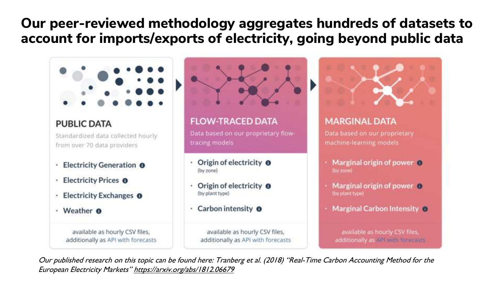### Our peer-reviewed methodology aggregates hundreds of datasets to account for imports/exports of electricity, going beyond public data



#### **PUBLIC DATA**

Standardized data collected hourly from over 70 data providers

- Electricity Generation <sup>O</sup>
- Electricity Prices O
- Electricity Exchanges <sup>O</sup>
- Weather **O**  $\bullet$

available as hourly CSV files, additionally as API with forecasts



#### **FLOW-TRACED DATA**

Data based on our proprietary flowtracing models

- Origin of electricity **O** (by zone)
- Origin of electricity **O** (by plant type)
- Carbon intensity **O**

available as hourly CSV files, additionally as API with forecasts



#### **MARGINAL DATA**

Data based on our proprietary. machine-learning models

- Marginal origin of power O (by zone)
- Marginal origin of power O (by plant type)
- Marginal Carbon Intensity O

available as hourly CSV files, additionally as API With foremasts

Our published research on this topic can be found here: Tranberg et al. (2018) "Real-Time Carbon Accounting Method for the European Electricity Markets" https://arxiv.org/abs/1812.06679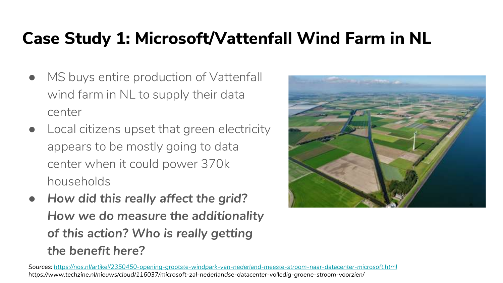### Case Study 1: Microsoft/Vattenfall Wind Farm in NL

- MS buys entire production of Vattenfall wind farm in NL to supply their data center
- Local citizens upset that green electricity appears to be mostly going to data center when it could power 370k households
- *How did this really affect the grid? How we do measure the additionality of this action? Who is really getting the benefit here?*



*Sources:<https://nos.nl/artikel/2350450-opening-grootste-windpark-van-nederland-meeste-stroom-naar-datacenter-microsoft.html> https://www.techzine.nl/nieuws/cloud/116037/microsoft-zal-nederlandse-datacenter-volledig-groene-stroom-voorzien/*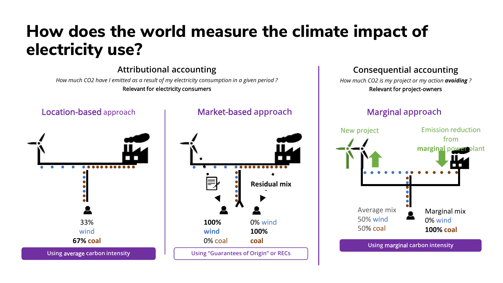### How does the world measure the climate impact of electricity use?

Attributional accounting *How much CO2 have I emitted as a result of my electricity consumption in a given period ?* Relevant for electricity consumers

Location-based approach . . . . . . . . . . . . 33% wind **67% coal** Using average carbon intensity

#### Market-based approach



#### Consequential accounting

*How much CO2 is my project or my action avoiding ?* Relevant for project-owners

#### Marginal approach



Using marginal carbon intensity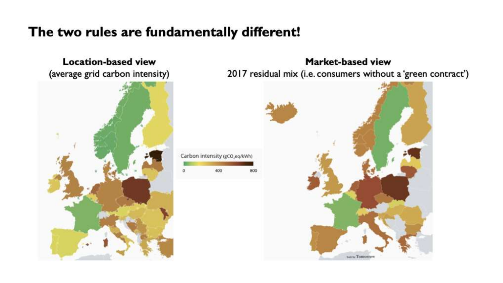### The two rules are fundamentally different!

Carbon intensity (gCO,eq/kWh)

400

**Location-based view** (average grid carbon intensity)



Market-based view 2017 residual mix (i.e. consumers without a 'green contract')

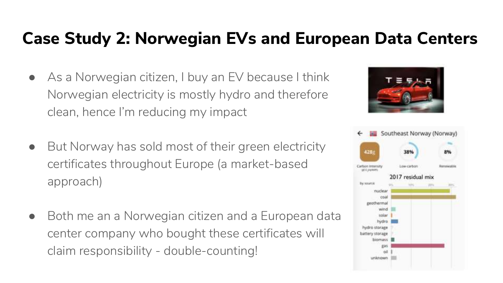### Case Study 2: Norwegian EVs and European Data Centers

- As a Norwegian citizen, I buy an EV because I think Norwegian electricity is mostly hydro and therefore clean, hence I'm reducing my impact
- But Norway has sold most of their green electricity certificates throughout Europe (a market-based approach)
- Both me an a Norwegian citizen and a European data center company who bought these certificates will claim responsibility - double-counting!



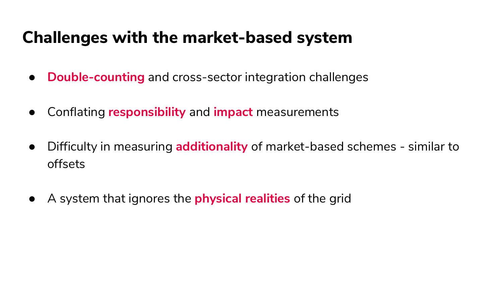### Challenges with the market-based system

- **Double-counting** and cross-sector integration challenges
- Conflating **responsibility** and **impact** measurements
- Difficulty in measuring **additionality** of market-based schemes similar to offsets
- A system that ignores the **physical realities** of the grid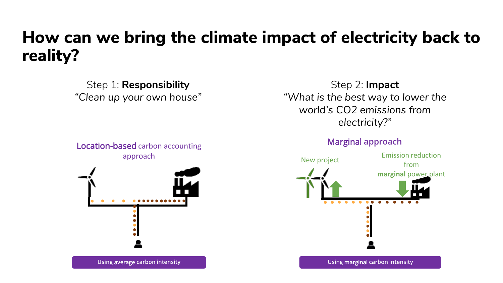### How can we bring the climate impact of electricity back to reality?

Step 1: **Responsibility** *"Clean up your own house"*

Location-based carbon accounting approach



Using average carbon intensity

Step 2: **Impact** *"What is the best way to lower the world's CO2 emissions from electricity?"*

#### Marginal approach



Using marginal carbon intensity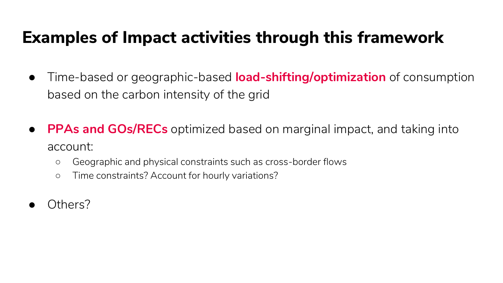### Examples of Impact activities through this framework

- Time-based or geographic-based **load-shifting/optimization** of consumption based on the carbon intensity of the grid
- **PPAs and GOs/RECs** optimized based on marginal impact, and taking into account:
	- Geographic and physical constraints such as cross-border flows
	- Time constraints? Account for hourly variations?
- Others?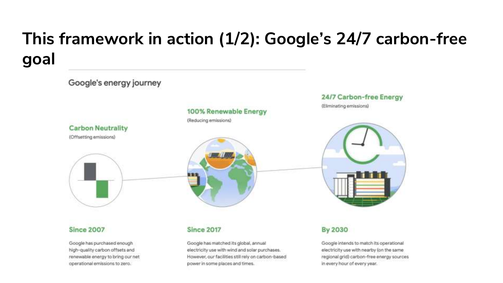## **This framework in action (1/2): Google's 24/7 carbon-free goal**



power in some places and times.

operational emissions to zero.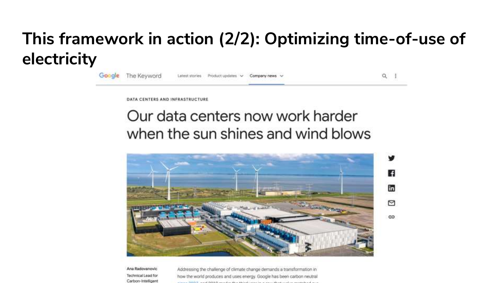## This framework in action (2/2): Optimizing time-of-use of electricity

| Google The Keyword | Latest stories Product updates v Company news v |  |  |
|--------------------|-------------------------------------------------|--|--|
|                    |                                                 |  |  |

DATA CENTERS AND INFRASTRUCTURE

### Our data centers now work harder when the sun shines and wind blows



Ana Radovanovic Technical Lead for Carbon-Intelligent

Addressing the challenge of climate change demands a transformation in how the world produces and uses energy. Google has been carbon neutral provided a statement of the state and a statement of the statement of the statement of the statement of the statement of the statement of the statement of the statement of the statement of the statement of the statement of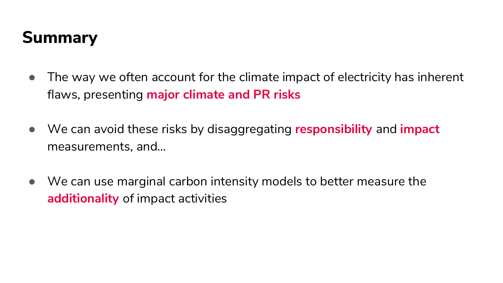## Summary

- The way we often account for the climate impact of electricity has inherent flaws, presenting **major climate and PR risks**
- We can avoid these risks by disaggregating **responsibility** and **impact** measurements, and…
- We can use marginal carbon intensity models to better measure the **additionality** of impact activities